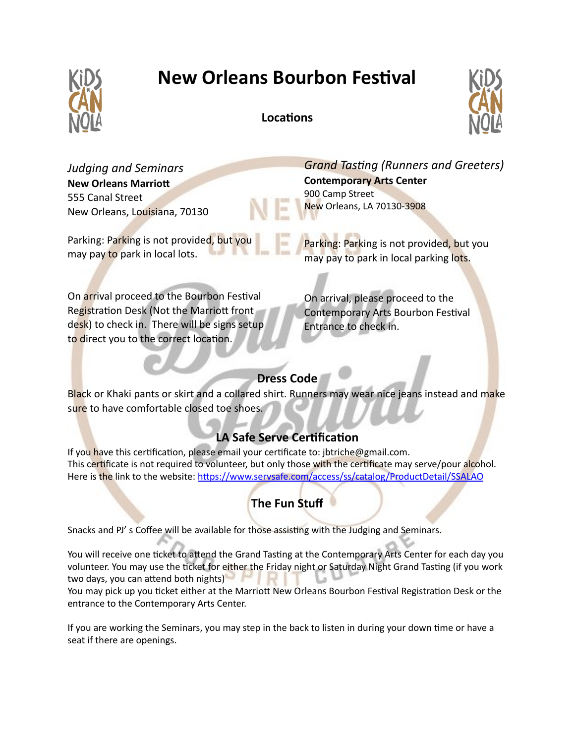

# **New Orleans Bourbon Festival**

#### **Locations**



*Judging and Seminars* **New Orleans Marriott** 555 Canal Street New Orleans, Louisiana, 70130

Parking: Parking is not provided, but you may pay to park in local lots.

*Grand Tasting (Runners and Greeters)* **Contemporary Arts Center** 900 Camp Street New Orleans, LA 70130-3908

Parking: Parking is not provided, but you may pay to park in local parking lots.

On arrival proceed to the Bourbon Festival Registration Desk (Not the Marriott front desk) to check in. There will be signs setup to direct you to the correct location.

On arrival, please proceed to the Contemporary Arts Bourbon Festival Entrance to check in.

### **Dress Code**

Black or Khaki pants or skirt and a collared shirt. Runners may wear nice jeans instead and make sure to have comfortable closed toe shoes.

## **LA Safe Serve Certification**

If you have this certification, please email your certificate to: jbtriche@gmail.com. This certificate is not required to volunteer, but only those with the certificate may serve/pour alcohol. Here is the link to the website: <https://www.servsafe.com/access/ss/catalog/ProductDetail/SSALAO>

## **The Fun Stuff**

Snacks and PJ' s Coffee will be available for those assisting with the Judging and Seminars.

You will receive one ticket to attend the Grand Tasting at the Contemporary Arts Center for each day you volunteer. You may use the ticket for either the Friday night or Saturday Night Grand Tasting (if you work two days, you can attend both nights)

You may pick up you ticket either at the Marriott New Orleans Bourbon Festival Registration Desk or the entrance to the Contemporary Arts Center.

If you are working the Seminars, you may step in the back to listen in during your down time or have a seat if there are openings.